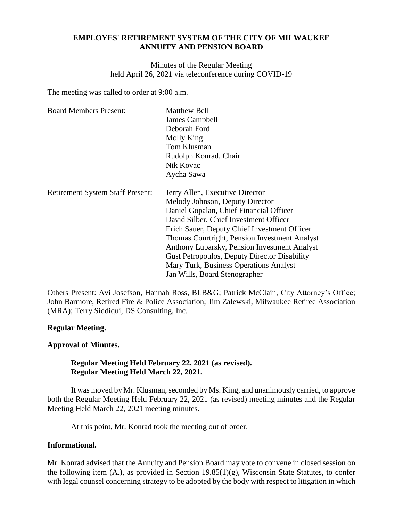## **EMPLOYES' RETIREMENT SYSTEM OF THE CITY OF MILWAUKEE ANNUITY AND PENSION BOARD**

Minutes of the Regular Meeting held April 26, 2021 via teleconference during COVID-19

The meeting was called to order at 9:00 a.m.

| <b>Board Members Present:</b>           | <b>Matthew Bell</b><br>James Campbell<br>Deborah Ford<br>Molly King |
|-----------------------------------------|---------------------------------------------------------------------|
|                                         | Tom Klusman                                                         |
|                                         | Rudolph Konrad, Chair                                               |
|                                         | Nik Kovac                                                           |
|                                         | Aycha Sawa                                                          |
| <b>Retirement System Staff Present:</b> | Jerry Allen, Executive Director                                     |
|                                         | Melody Johnson, Deputy Director                                     |
|                                         | Daniel Gopalan, Chief Financial Officer                             |
|                                         | David Silber, Chief Investment Officer                              |
|                                         | Erich Sauer, Deputy Chief Investment Officer                        |
|                                         | Thomas Courtright, Pension Investment Analyst                       |
|                                         | Anthony Lubarsky, Pension Investment Analyst                        |
|                                         | Gust Petropoulos, Deputy Director Disability                        |
|                                         | Mary Turk, Business Operations Analyst                              |
|                                         | Jan Wills, Board Stenographer                                       |

Others Present: Avi Josefson, Hannah Ross, BLB&G; Patrick McClain, City Attorney's Office; John Barmore, Retired Fire & Police Association; Jim Zalewski, Milwaukee Retiree Association (MRA); Terry Siddiqui, DS Consulting, Inc.

## **Regular Meeting.**

#### **Approval of Minutes.**

## **Regular Meeting Held February 22, 2021 (as revised). Regular Meeting Held March 22, 2021.**

It was moved by Mr. Klusman, seconded by Ms. King, and unanimously carried, to approve both the Regular Meeting Held February 22, 2021 (as revised) meeting minutes and the Regular Meeting Held March 22, 2021 meeting minutes.

At this point, Mr. Konrad took the meeting out of order.

## **Informational.**

Mr. Konrad advised that the Annuity and Pension Board may vote to convene in closed session on the following item  $(A)$ , as provided in Section 19.85 $(1)(g)$ , Wisconsin State Statutes, to confer with legal counsel concerning strategy to be adopted by the body with respect to litigation in which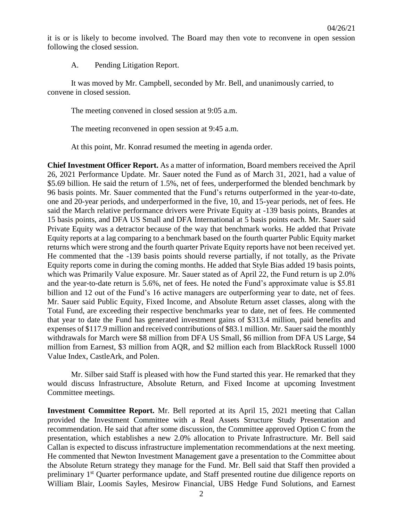it is or is likely to become involved. The Board may then vote to reconvene in open session following the closed session.

A. Pending Litigation Report.

It was moved by Mr. Campbell, seconded by Mr. Bell, and unanimously carried, to convene in closed session.

The meeting convened in closed session at 9:05 a.m.

The meeting reconvened in open session at 9:45 a.m.

At this point, Mr. Konrad resumed the meeting in agenda order.

**Chief Investment Officer Report.** As a matter of information, Board members received the April 26, 2021 Performance Update. Mr. Sauer noted the Fund as of March 31, 2021, had a value of \$5.69 billion. He said the return of 1.5%, net of fees, underperformed the blended benchmark by 96 basis points. Mr. Sauer commented that the Fund's returns outperformed in the year-to-date, one and 20-year periods, and underperformed in the five, 10, and 15-year periods, net of fees. He said the March relative performance drivers were Private Equity at -139 basis points, Brandes at 15 basis points, and DFA US Small and DFA International at 5 basis points each. Mr. Sauer said Private Equity was a detractor because of the way that benchmark works. He added that Private Equity reports at a lag comparing to a benchmark based on the fourth quarter Public Equity market returns which were strong and the fourth quarter Private Equity reports have not been received yet. He commented that the -139 basis points should reverse partially, if not totally, as the Private Equity reports come in during the coming months. He added that Style Bias added 19 basis points, which was Primarily Value exposure. Mr. Sauer stated as of April 22, the Fund return is up 2.0% and the year-to-date return is 5.6%, net of fees. He noted the Fund's approximate value is \$5.81 billion and 12 out of the Fund's 16 active managers are outperforming year to date, net of fees. Mr. Sauer said Public Equity, Fixed Income, and Absolute Return asset classes, along with the Total Fund, are exceeding their respective benchmarks year to date, net of fees. He commented that year to date the Fund has generated investment gains of \$313.4 million, paid benefits and expenses of \$117.9 million and received contributions of \$83.1 million. Mr. Sauer said the monthly withdrawals for March were \$8 million from DFA US Small, \$6 million from DFA US Large, \$4 million from Earnest, \$3 million from AQR, and \$2 million each from BlackRock Russell 1000 Value Index, CastleArk, and Polen.

Mr. Silber said Staff is pleased with how the Fund started this year. He remarked that they would discuss Infrastructure, Absolute Return, and Fixed Income at upcoming Investment Committee meetings.

**Investment Committee Report.** Mr. Bell reported at its April 15, 2021 meeting that Callan provided the Investment Committee with a Real Assets Structure Study Presentation and recommendation. He said that after some discussion, the Committee approved Option C from the presentation, which establishes a new 2.0% allocation to Private Infrastructure. Mr. Bell said Callan is expected to discuss infrastructure implementation recommendations at the next meeting. He commented that Newton Investment Management gave a presentation to the Committee about the Absolute Return strategy they manage for the Fund. Mr. Bell said that Staff then provided a preliminary 1<sup>st</sup> Quarter performance update, and Staff presented routine due diligence reports on William Blair, Loomis Sayles, Mesirow Financial, UBS Hedge Fund Solutions, and Earnest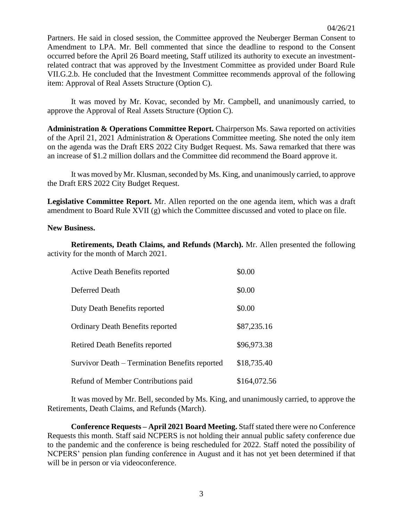Partners. He said in closed session, the Committee approved the Neuberger Berman Consent to Amendment to LPA. Mr. Bell commented that since the deadline to respond to the Consent occurred before the April 26 Board meeting, Staff utilized its authority to execute an investmentrelated contract that was approved by the Investment Committee as provided under Board Rule VII.G.2.b. He concluded that the Investment Committee recommends approval of the following item: Approval of Real Assets Structure (Option C).

It was moved by Mr. Kovac, seconded by Mr. Campbell, and unanimously carried, to approve the Approval of Real Assets Structure (Option C).

**Administration & Operations Committee Report.** Chairperson Ms. Sawa reported on activities of the April 21, 2021 Administration & Operations Committee meeting. She noted the only item on the agenda was the Draft ERS 2022 City Budget Request. Ms. Sawa remarked that there was an increase of \$1.2 million dollars and the Committee did recommend the Board approve it.

It was moved by Mr. Klusman, seconded by Ms. King, and unanimously carried, to approve the Draft ERS 2022 City Budget Request.

**Legislative Committee Report.** Mr. Allen reported on the one agenda item, which was a draft amendment to Board Rule XVII (g) which the Committee discussed and voted to place on file.

### **New Business.**

**Retirements, Death Claims, and Refunds (March).** Mr. Allen presented the following activity for the month of March 2021.

| <b>Active Death Benefits reported</b>          | \$0.00       |
|------------------------------------------------|--------------|
| Deferred Death                                 | \$0.00       |
| Duty Death Benefits reported                   | \$0.00       |
| <b>Ordinary Death Benefits reported</b>        | \$87,235.16  |
| Retired Death Benefits reported                | \$96,973.38  |
| Survivor Death – Termination Benefits reported | \$18,735.40  |
| Refund of Member Contributions paid            | \$164,072.56 |

It was moved by Mr. Bell, seconded by Ms. King, and unanimously carried, to approve the Retirements, Death Claims, and Refunds (March).

**Conference Requests – April 2021 Board Meeting.** Staff stated there were no Conference Requests this month. Staff said NCPERS is not holding their annual public safety conference due to the pandemic and the conference is being rescheduled for 2022. Staff noted the possibility of NCPERS' pension plan funding conference in August and it has not yet been determined if that will be in person or via videoconference.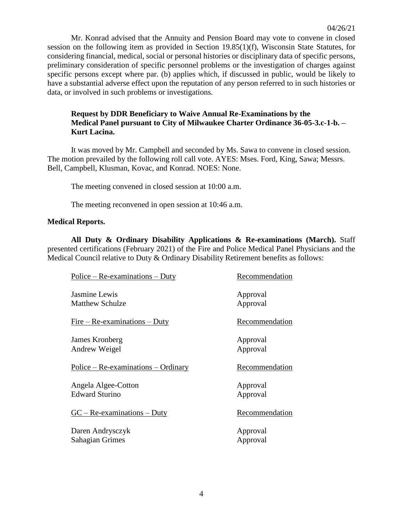Mr. Konrad advised that the Annuity and Pension Board may vote to convene in closed session on the following item as provided in Section 19.85(1)(f), Wisconsin State Statutes, for considering financial, medical, social or personal histories or disciplinary data of specific persons, preliminary consideration of specific personnel problems or the investigation of charges against specific persons except where par. (b) applies which, if discussed in public, would be likely to have a substantial adverse effect upon the reputation of any person referred to in such histories or data, or involved in such problems or investigations.

# **Request by DDR Beneficiary to Waive Annual Re-Examinations by the Medical Panel pursuant to City of Milwaukee Charter Ordinance 36-05-3.c-1-b. – Kurt Lacina.**

It was moved by Mr. Campbell and seconded by Ms. Sawa to convene in closed session. The motion prevailed by the following roll call vote. AYES: Mses. Ford, King, Sawa; Messrs. Bell, Campbell, Klusman, Kovac, and Konrad. NOES: None.

The meeting convened in closed session at 10:00 a.m.

The meeting reconvened in open session at 10:46 a.m.

### **Medical Reports.**

**All Duty & Ordinary Disability Applications & Re-examinations (March).** Staff presented certifications (February 2021) of the Fire and Police Medical Panel Physicians and the Medical Council relative to Duty & Ordinary Disability Retirement benefits as follows:

| $Police - Re-examinations - Duty$            | Recommendation       |
|----------------------------------------------|----------------------|
| Jasmine Lewis<br><b>Matthew Schulze</b>      | Approval<br>Approval |
| $Fire - Re-examinations - Duty$              | Recommendation       |
| James Kronberg<br>Andrew Weigel              | Approval<br>Approval |
| $Police - Re-examinations - Ordinary$        | Recommendation       |
| Angela Algee-Cotton<br><b>Edward Sturino</b> | Approval<br>Approval |
|                                              |                      |
| $GC - Re-examinations - Duty$                | Recommendation       |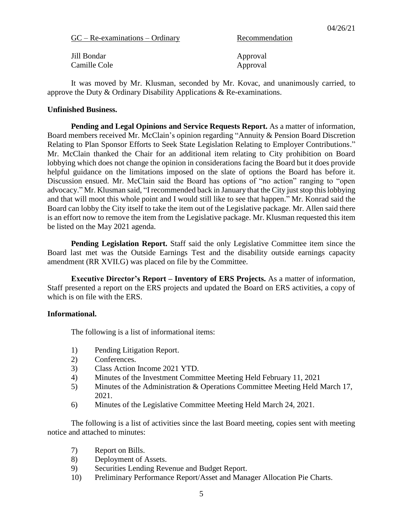| $GC - Re-examinations - Ordinary$ |
|-----------------------------------|
|-----------------------------------|

Recommendation

| Jill Bondar  | Approval |
|--------------|----------|
| Camille Cole | Approval |

It was moved by Mr. Klusman, seconded by Mr. Kovac, and unanimously carried, to approve the Duty & Ordinary Disability Applications & Re-examinations.

### **Unfinished Business.**

**Pending and Legal Opinions and Service Requests Report.** As a matter of information, Board members received Mr. McClain's opinion regarding "Annuity & Pension Board Discretion Relating to Plan Sponsor Efforts to Seek State Legislation Relating to Employer Contributions." Mr. McClain thanked the Chair for an additional item relating to City prohibition on Board lobbying which does not change the opinion in considerations facing the Board but it does provide helpful guidance on the limitations imposed on the slate of options the Board has before it. Discussion ensued. Mr. McClain said the Board has options of "no action" ranging to "open advocacy." Mr. Klusman said, "I recommended back in January that the City just stop this lobbying and that will moot this whole point and I would still like to see that happen." Mr. Konrad said the Board can lobby the City itself to take the item out of the Legislative package. Mr. Allen said there is an effort now to remove the item from the Legislative package. Mr. Klusman requested this item be listed on the May 2021 agenda.

**Pending Legislation Report.** Staff said the only Legislative Committee item since the Board last met was the Outside Earnings Test and the disability outside earnings capacity amendment (RR XVII.G) was placed on file by the Committee.

**Executive Director's Report – Inventory of ERS Projects.** As a matter of information, Staff presented a report on the ERS projects and updated the Board on ERS activities, a copy of which is on file with the ERS.

## **Informational.**

The following is a list of informational items:

- 1) Pending Litigation Report.
- 2) Conferences.
- 3) Class Action Income 2021 YTD.
- 4) Minutes of the Investment Committee Meeting Held February 11, 2021
- 5) Minutes of the Administration & Operations Committee Meeting Held March 17, 2021.
- 6) Minutes of the Legislative Committee Meeting Held March 24, 2021.

The following is a list of activities since the last Board meeting, copies sent with meeting notice and attached to minutes:

- 7) Report on Bills.
- 8) Deployment of Assets.
- 9) Securities Lending Revenue and Budget Report.
- 10) Preliminary Performance Report/Asset and Manager Allocation Pie Charts.